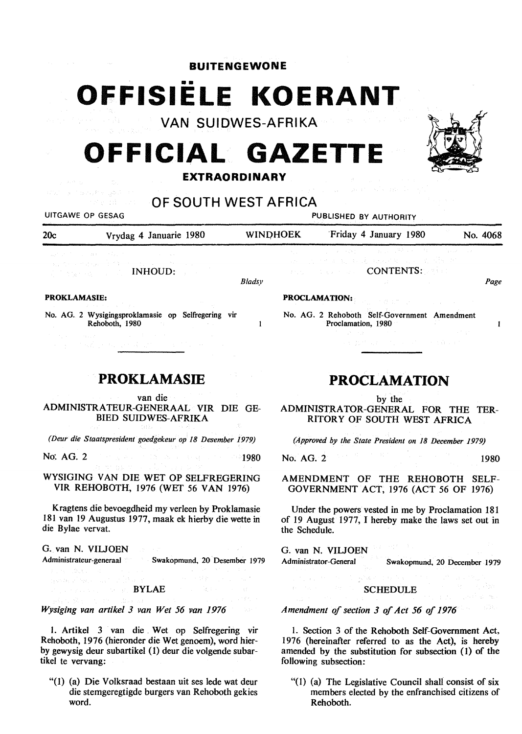## **BUITENGEWONE**

## •• **OFFISIELE KOERANT**

**VAN SUIDWES-AFRIKA** 

# **OFFICIAL GAZETT**

### **EXTRAORDINARY**



*Bladsy* 

 $\mathbf{1}$ 

UITGAWE OP GESAG **PUBLISHED BY AUTHORITY** 20c Vrydag 4 Januarie 1980 WINOHOEK 'Friday 4 January 1980 No. 4068

**PROCLAMATION:** 

INHOUD:

#### **PROKLAMASIE:**

No. AG. 2 Wysigingsproklamasie op Selfregering vir Rehoboth, 1980

## **PROKLAMASIE**

van die ADMINISTRA TEUR-GENERAAL VIR DIE GE-BIED SUIDWES-AFRIKA

*(Deur die Staatspresident goedgekeur op 18 Desember 1979)* 

No: AG. 2 1980 1980 1980 1980 1980 1980 1980

WYSIGING VAN DIE WET OP SELFREGERING VIR REHOBOTH, 1976 (WET 56 VAN 1976)

Kragtens die bevoegdheid my verleen by Proklamasie 181 van 19 Augustus 1977, maak ek hierby die wette in die Bylae vervat.

G. van N. VILJOEN G. van N. VILJOEN G. Van N. VILJOEN

Administrateur-generaal Swakopmund, 20 Desember 1979 Administrator-General Swakopmund, 20 December 1979

**BYLAE** 

*Wysiging van artikel 3 van Wet 56 van 1976* 

1. Artikel 3 van die . Wet op Selfregering vir Rehoboth, 1976 (hieronder die Wet genoem), word bierby gewysig deur subartikel ( 1) deur die volgende subartikel te vervang:

"(I) (a) Die Volksraad bestaan uit ses lede wat deur die stemgeregtigde burgers van Rehoboth gekies word.

## **PROCLAMATION**

CONTENTS:

by the

No. AG. 2 Rehoboth Self-Government Amendment

Proclamation, 1980

ADMINISTRATOR-GENERAL FOR THE TER-RITORY OF SOUTH WEST AFRICA

*(Approved by the State President on 18 December 1979)* 

No. AG. 2 1980

AMENDMENT OF THE REHOBOTH SELF-GOVERNMENT ACT, 1976 (ACT 56 OF 1976)

Under the powers vested in me by Proclamation 181 of 19 August 1977, I hereby make the laws set out in the Schedule.

#### SCHEDULE

*Amendment of section 3 of Act 56 of 1976* 

1. Section 3 of the Rehoboth Self-Government Act, 1976 (hereinafter referred to as the Act), is hereby amended by the substitution for subsection (1) of the following subsection:

"(1) (a) The Legislative Council shali consist of six members elected by the enfranchised citizens of Rehoboth.



*Page* 

 $\mathbf{I}$